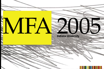# $NA$

# **Indiana University**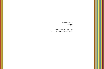**Master of Fine Arts Graduates 2005**

Indiana University, Bloomington Henry Radford Hope School of Fine Arts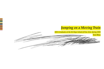# *Jumping on a Moving Train*

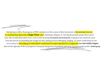

Attempting to follow the progress of MFA students over the course of their instruction is like pressing your eye to a keyhole that opens into a **large**, **busy** room. Attending critiques, or viewing the periodic group shows gives some idea of individual styles, but a viewer ends up being **frustrated and tantalized**, wanting to see and know more. Even the process of assembling the images for this catalog proved challenging. Judging an artist's work based on one or two pieces is like judging an individual's worth based on observing them for a single day. **One fervently hopes** that it's the right day. If the art program is any good, the process of graduate education will necessarily involve **challenging**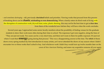– *and sometimes destroying* – old, previously **cherished** beliefs and priorities. Viewing works that proceed from this process of breaking down can be **chaotic**, **misleading or even demoralizing**. When a family enters its third week of living with the disruption of construction work, drywall dust, noise, plastic sheeting, this may not be the best time to get **a clear idea** from them of the wonderful new kitchen they will have when the work concludes.

Several years ago, I approached some senior faculty members about the possibility of finding venues for the graduate students to show their work more often during their time in school. The responses I got were negative, along the lines of "They are just not ready. Two years can be a very short time, and there isn't room in there for public exposure. It's just not where I want their **energy** going during that process." This was a disappointing answer at the time. The whirl of thesis shows every spring marked my first introduction to many artists, yet I never attended the shows of any season where I didn't encounter two or three works that I ached to buy. And whichever work I didn't buy would turn up twelve months later on the cover of *New American Painting*, and renew my acquisitive remorse all over again.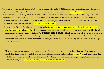The **creative process** usually breaks into two phases, a *creative* and a **critical** phase, each containing entirely distinct and separate modes of thought and different ways of processing visual information. In the fever of creation, when disparate threads start to gel, when the metal gets hot, the clay gets centered, the palette fills with just the right colors, – this may be the worst time to mentally write your biography. **When creation flows, the critical mind sleeps**. Alternatively, when the critic scolds, creativity withers. Henry Miller said he wrote his most **fantastic** prose while lying in bed, in the hours before arising. Of course it would appear so, because his critic had not yet awakened.

The essential difficulty of graduate school consists of having to create in spite of a constant, heightened critical awareness, living in a state of critical martial law. The scholarship student with the promising tennis serve finds it destroyed by the selfconsciousness of learning a new technique. The **fluency and power** will only return when all the new moves become unconscious again. After decades of watching students endure the **rigors** of graduate instruction, I understand that the most important lesson each must learn is **confidence**. In tennis, it's what allows an older, slower player to prevail over a younger, stronger opponent.

This may mean buying into the show biz aspect of art, the essential hucksterism of **selling what you sell with pure conviction**. It may mean the **steady incrementalism** of lessons learned and assimilated, like an IV drip. It may mean a **final rebellion and refusal** of all authority, defining one's style through opposition and restoring an original youthful arrogance. It always means giving the crucial advantage to the creative over the critical.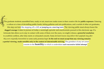The graduate students assembled here, ready or not, must now make room in their creative life for **public exposure**. Entering a culture at a time of dwindling public funds, failing galleries and arts publications, and a surfeit of other art graduates, this step can look like stepping off a cliff, **or jumping on a moving train**. The viewing public must always honor the **dogged courage** it takes to pursue art today, a seemingly quixotic and anachronistic pursuit in this electronic age. If a fortunate fate allows us to stay in contact with some of them over the years, we might witness a **powerful resolution** to youthful conflicts, after false starts or exhausted conceits. Some *dormant lessons may deliver their payloads long after they were originally transmitted* or some early promise kept. **In the end we must accept that any viewing remains a partial viewing**, **made sensible only in the context of interminable striving**. The grandeur of any art career consists in the **humility** in which is undertaken **each successive failed attempt**.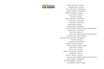**2005 MFA Graduates:** Parad Archambault Painting Matthew Ballou Painting Dennis Chamberlin Photography Jennifer Chapman Photography Matthew Choberka Painting Jamie Combs Painting Josh Crow Painting Aaron James Drew Printmaking Ruth Droppo Printmaking Stacy Elko Printmaking Richard Estrin Painting Rebecca Foley Photography John Kent Garrott Metalsmithing and Jewelry Design Andrew Glenn Printmaking Robert Graf Ceramics Arthur Hash Metalsmithing and Jewelry Design Adrienne Hooker Graphic Design Rosemary Kate Jesionowski Photography Sam King Painting Young-Ae Lee Printmaking Melanie Lowrance Painting Ambica Prakash Graphic Design Brian Smith Painting Sarah H. Son Painting Nathan A. Sonnenberg Ceramics Greg Stahly Ceramics Hunter W. Stamps Ceramics Carol-lynn Swol Metalsmithing and Jewelry Design Jacob Urbanski Photography Brandon Whightsel Painting David Wolske Graphic Design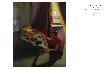

### **Brad Archambault** MFA Painting BFA, University of New Hampshire

"Tilting table" Oil on canvas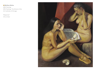### **Matthew Ballou**

MFA Painting BFA Painting, The School of the Art Institute of Chicago

"Response" Oil on linen

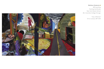### **Matthew Choberka**

MFA painting Painting Certificate, New York Studio School BA, Columbia College Chicago

> "City of Women" Oil on canvas, 84"×144"

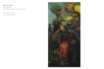**Jamie Combs**

MFA Painting BFA, Kendall College of Art and Design

"Fifty Silver Wishes" Oil on canvas, 36"×72"

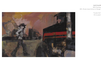### **Josh Crow**

MFA Painting BFA, Rhode Island School of Design

> "Trucker Girl" Oil on panel

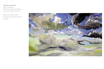### **Aaron James Drew**

MFA Printmaking BFA Printmaking and Drawing, University of New Hampshire

"Apathy (In Yellow)" 2004 Six panel, single plate reduction woodcut

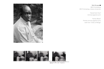### **Ruth Droppo**

MFA Printmaking BFA Printmaking, Indiana University

> "Daniel Kuch Kuol" Archival pigment print

"Family Weave" Pinhole archival pigment print both from "Cities of Refuge"





Continue to may the 5- Summer Aust and<br>- Joseph which had Angewest.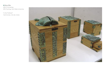**Stacy Elko**

MFA Printmaking BFA Painting, Kent State University

"In the Fishbowl" Cast bronze, red oak, brass

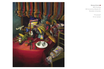

### **Richard Estrin**

MFA Painting BA Economics/Studio Art, Brandeis University

> "Processed" Oil on canvas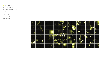### **Rebecca Foley**

MFA Photography BA Studio Art/English, Rice University

"Fireflies" Archival inkjet prints from photograms

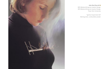

## **John Kent Garrott**

MFA Metalsmithing and Jewelry Design BFA Metalsmithing and Jewelry Design, Texas Tech University

> "Ignition Experiment #2" Sterling silver, combustible powder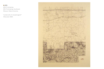## **AWG**

MFA Printmaking BFA Printmaking, Southwest Missouri State University

"Landersville, AL Quadrangle.0" Silkscreen 2005

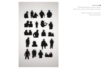# **dishe** di 1

### **Arthur Hash**

MFA Metalsmithing and Jewelry Design BFA Crafts, Virginia Commonwealth University

> Detail of installation "silhouettes" Mild steel and paint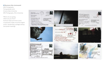### **Rosemary Kate Jesionowski**

MFA Photography Post-graduate work, Arizona Sate University BFA Photography, Ohio University

"Where are you going, where are you from?" Archival inkjet print from scans of postcards made of archival digital prints, handwriting, postage stamps, and postal markings

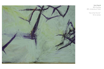

**Sam King** MFA Painting BFA, University of Tulsa

> "Out of the Thin Air" Oil on canvas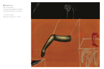**Young-Ae Lee** MFA Printmaking Undergraduate degree, Painting, Sookmyung Women's University

"The Cock" 2004 Mezzotint, silkscreen, 7"×63⁄4"

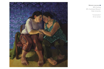

### **Melanie Lowrance**

MFA Painting BFA, Southwest Missouri State University

> "Conversation" Oil on canvas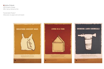**Ambica Prakash**

MFA Graphic Design BFA, Herron School of Art

"Sustainable Posters" Silkscreen on paper and cork board

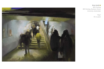**Brian Smith**

MFA Painting BFA Painting, Southern Illinois University, Carbondale

> "Days" Oil on panel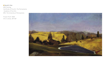## **Sarah H. Son**

MFA Painting Certificate of Fine Art, The Pennsylvania Academy of Fine Arts BFA, The University of Pennsylvania

"Frozen Pond" 2005 Oil on canvas, 30"×50"

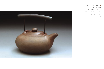### **Nathan A. Sonnenberg**

MFA Ceramics MA, Purdue University BFA, University of Wisconsin, Oshkosh

> "New Temple #4" Polished stoneware and metal

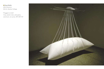**Greg Stahly** MFA Ceramics BA Art, Goshen College

"Plugged In (–6.0)" Vinyl, plastic tube, plexi-glass, aluminum, air pump, 90"×30"×72"

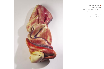

MFA Ceramics BFA Ceramic Art, University of North Carolina, Asheville

> "Skinless" Ceramic, encaustic, hair

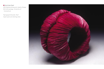### **Carol-lynn Swol**

MFA Metalsmithing and Jewelry Design BA Anthropology, University of Connecticut

"Spirograph Bracelet, Red" Dyed tyvek and sterling silver

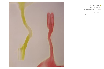

**Jacob Urbanski**

MFA Photography BFA, Ohio University, Athens

"Popsicle 3" Chromoskedasic monoprint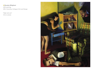### **Brandon Whightsel**

MFA painting BFA, Columbus College of Art and Design

"High and Low" Oil on canvas

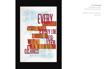### **David Wolske**

MFA Graphic Design BA Fine Art, Marian College

"Legibility: Carson vs. Morrison" Letterpress

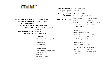### **MFA Thesis Show Exhibitions** . . . . . . . . .

**School of Fine Arts Gallery Fine Arts Building, Room 123 Indiana University Bloomington IN 47405 812-855-8490** MFA Talks at 12 noon Receptions 7–9pm

**March 28–April 10** *Talks and Reception: Fri, April 1*

**Indiana University Art Museum Special Exhibitions Gallery 1133 E Seventh Street Bloomington IN 47405 812-855-5445**

> **Open Tue–Sat, 10am-5pm Sun, noon–5pm**

MFA Talks at 6:30pm Receptions 6–8pm

**March 30–April 10** *Talks and Reception: Fri, April 1* Robert Graf Sam King Melanie Lowrance

**April 13–24** *Talks and Reception: Fri, April 15* Jamie Combs Richard Estrin Andrew Glenn

**April 27–May 8** *Talks and Reception: Fri, April 29* Matthew Ballou Sarah Son Nathan Sonnenberg

**Open Tue–Sat, 12–4pm**

Josh Crow Aaron Drew Greg Stahly Jake Urbanski Brandon Whightzel

Dennis Chamberlin Jennifer Chapman Arthur Hash Rosemary Jesionowski

**April 12–24** *Talks and Reception: Fri, April 15*

Matthew Choberka Rebecca Foley Adrienne Hooker Brian Smith Hunter Stamps Carol-lynn Swol

**April 26–May 8** *Talks and Reception: Fri, April 29*

Brad Archambault Ruth Droppo Stacy Elko John Garrot Young-Ae Lee Ambica Prakash David Wolske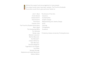Without the support and encouragement of many people, Ξ ▋ this project would never have been realized. The Fine Arts Graduate Association would like to give particular thanks to:

John V. Beck Kristin Brand Edward Estrin Harriet Estrin Rick Estrin Friends of Art The Fine Arts Student Association Barry Gealt The Graduating MFAs Tim Kennedy Randy Long Melanie Lowrance Martha MacLeish Eve Mansdorf Colleen McKenna Galo Moncayo Christine Mugnolo Pygmalion's Art Supply Tom Rhea Georgia Strange Stephanie and Caleb Weintraub Nathan Walton The School of Fine Arts Ceramics Fundamentals Graphic Design Metalsmithing and Jewelry Design N110 Painting Photography Sculpture Printed by Indiana University Printing Services